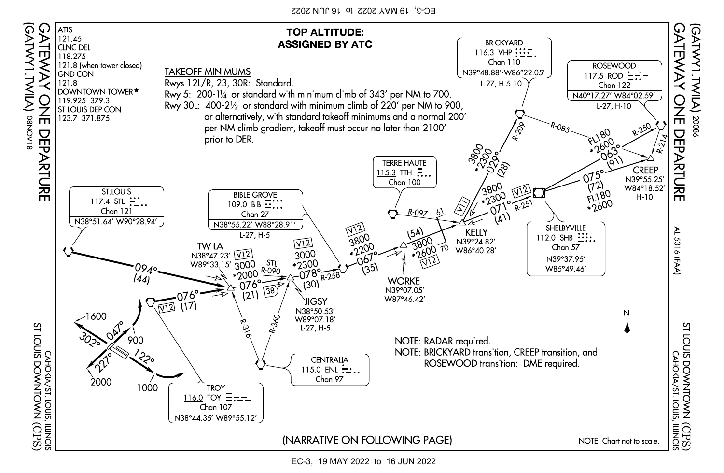EC-3, 19 MAY 2022 to 16 JUN 2022



EC-3, 19 MAY 2022 to 16 JUN 2022